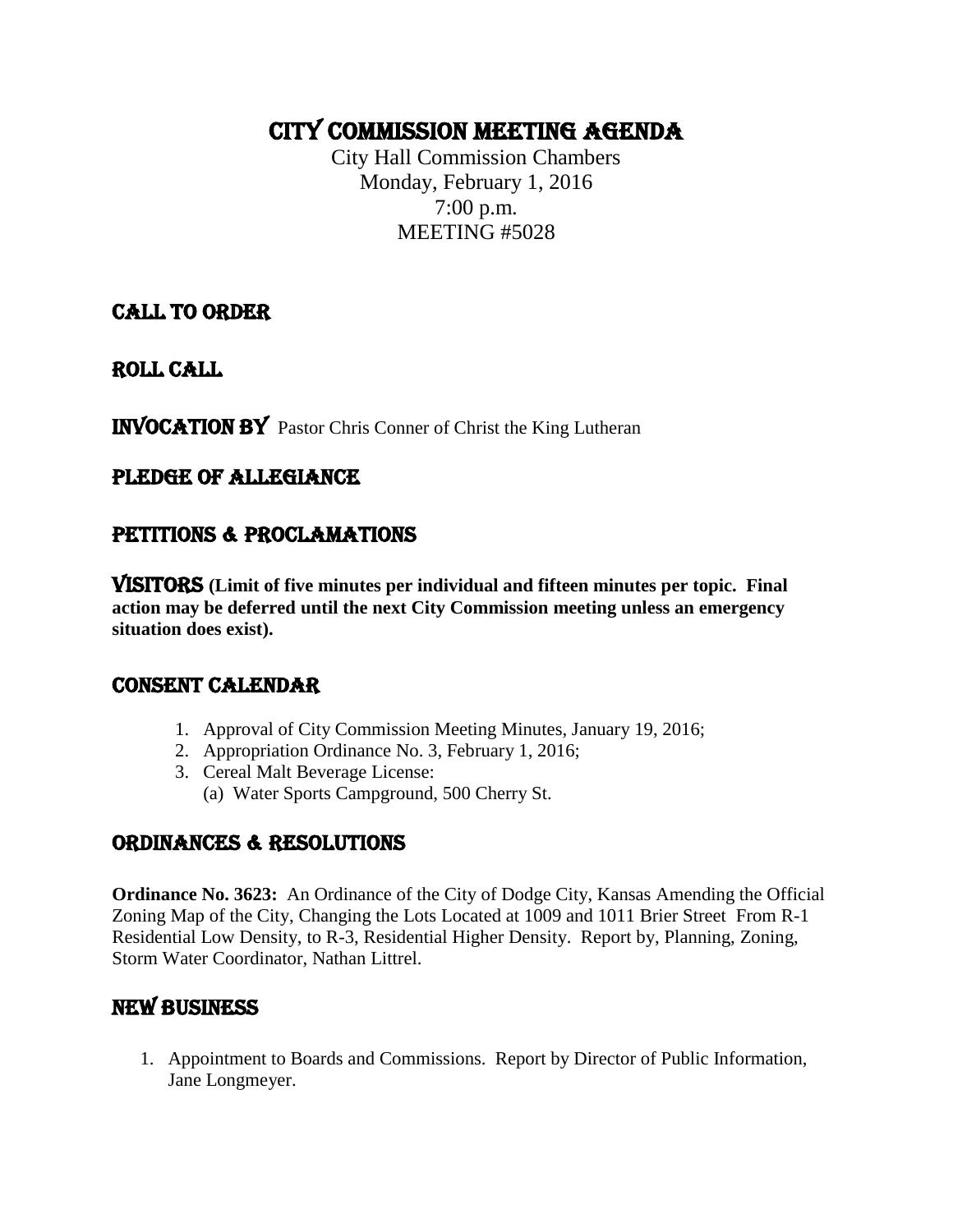## CITY COMMISSION MEETING AGENDA

City Hall Commission Chambers Monday, February 1, 2016 7:00 p.m. MEETING #5028

#### CALL TO ORDER

ROLL CALL

INVOCATION by Pastor Chris Conner of Christ the King Lutheran

#### PLEDGE OF ALLEGIANCE

#### PETITIONS & PROCLAMATIONS

VISITORS **(Limit of five minutes per individual and fifteen minutes per topic. Final action may be deferred until the next City Commission meeting unless an emergency situation does exist).**

#### CONSENT CALENDAR

- 1. Approval of City Commission Meeting Minutes, January 19, 2016;
- 2. Appropriation Ordinance No. 3, February 1, 2016;
- 3. Cereal Malt Beverage License:
	- (a) Water Sports Campground, 500 Cherry St.

#### ORDINANCES & RESOLUTIONS

**Ordinance No. 3623:** An Ordinance of the City of Dodge City, Kansas Amending the Official Zoning Map of the City, Changing the Lots Located at 1009 and 1011 Brier Street From R-1 Residential Low Density, to R-3, Residential Higher Density. Report by, Planning, Zoning, Storm Water Coordinator, Nathan Littrel.

#### NEW BUSINESS

1. Appointment to Boards and Commissions. Report by Director of Public Information, Jane Longmeyer.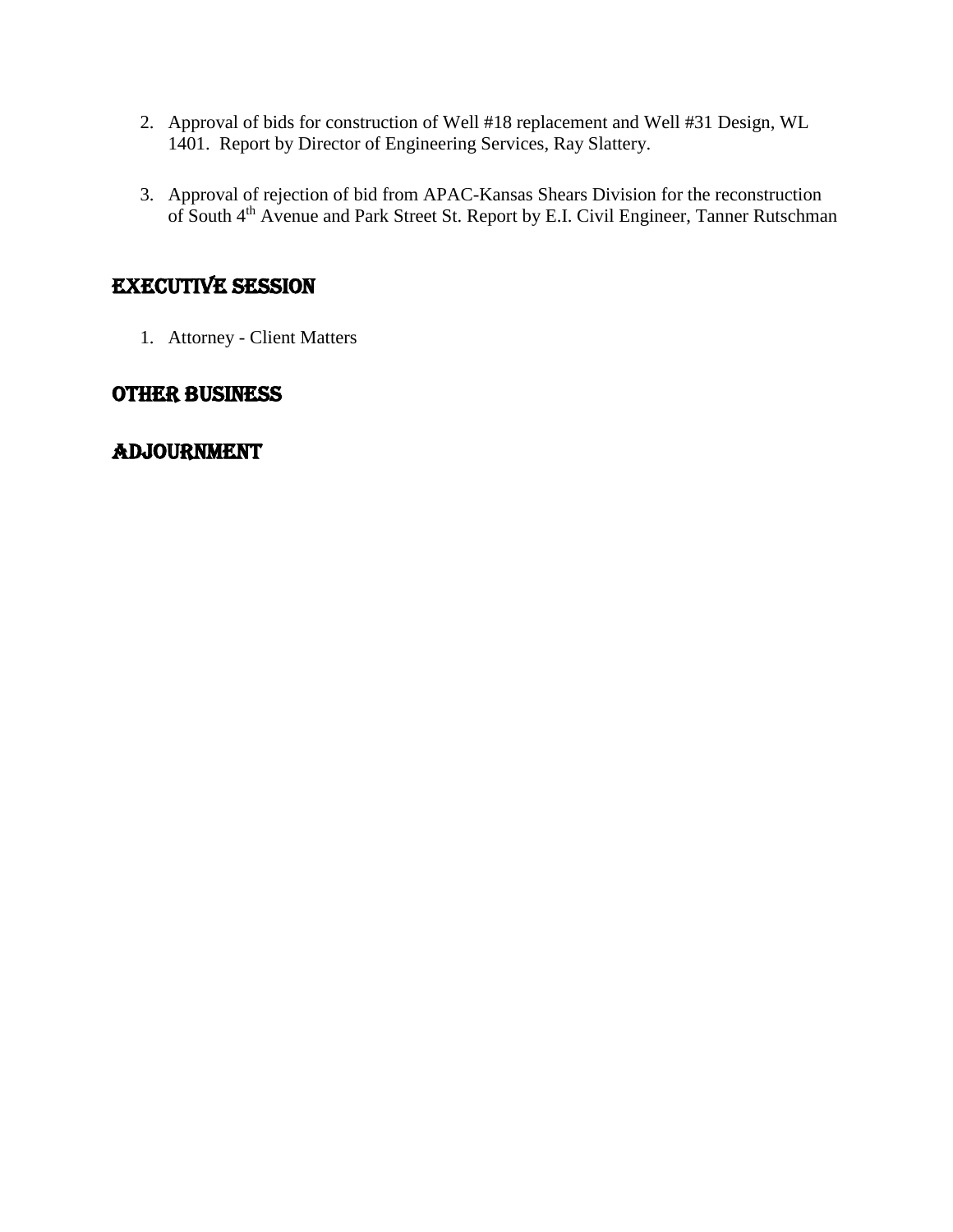- 2. Approval of bids for construction of Well #18 replacement and Well #31 Design, WL 1401. Report by Director of Engineering Services, Ray Slattery.
- 3. Approval of rejection of bid from APAC-Kansas Shears Division for the reconstruction of South 4<sup>th</sup> Avenue and Park Street St. Report by E.I. Civil Engineer, Tanner Rutschman

#### EXECUTIVE SESSION

1. Attorney - Client Matters

#### OTHER BUSINESS

#### adjournment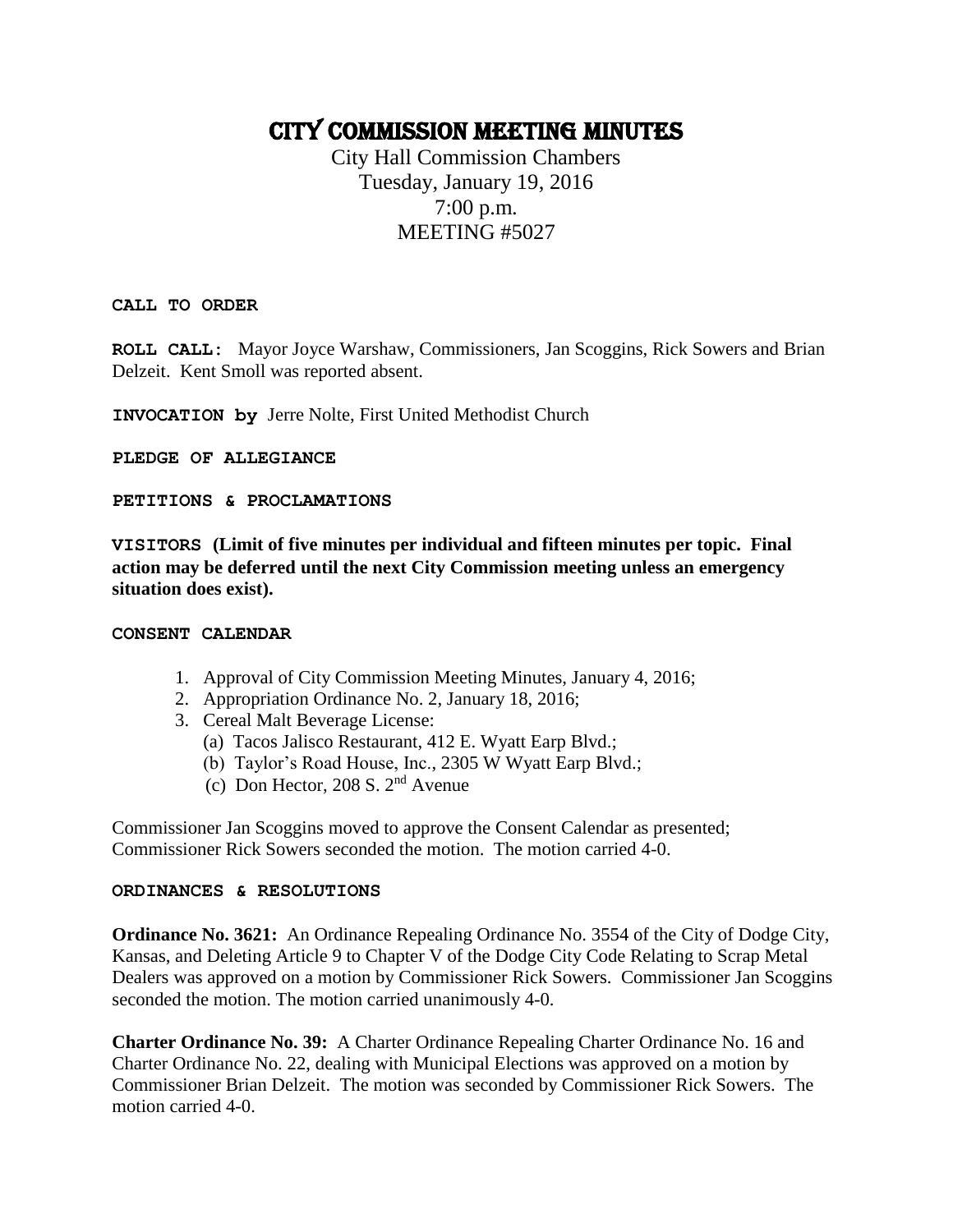### CITY COMMISSION MEETING Minutes

City Hall Commission Chambers Tuesday, January 19, 2016 7:00 p.m. MEETING #5027

**CALL TO ORDER**

**ROLL CALL:** Mayor Joyce Warshaw, Commissioners, Jan Scoggins, Rick Sowers and Brian Delzeit.Kent Smoll was reported absent.

**INVOCATION by** Jerre Nolte, First United Methodist Church

**PLEDGE OF ALLEGIANCE** 

**PETITIONS & PROCLAMATIONS**

**VISITORS (Limit of five minutes per individual and fifteen minutes per topic. Final action may be deferred until the next City Commission meeting unless an emergency situation does exist).**

#### **CONSENT CALENDAR**

- 1. Approval of City Commission Meeting Minutes, January 4, 2016;
- 2. Appropriation Ordinance No. 2, January 18, 2016;
- 3. Cereal Malt Beverage License:
	- (a) Tacos Jalisco Restaurant, 412 E. Wyatt Earp Blvd.;
	- (b) Taylor's Road House, Inc., 2305 W Wyatt Earp Blvd.;
	- (c) Don Hector, 208 S. 2nd Avenue

Commissioner Jan Scoggins moved to approve the Consent Calendar as presented; Commissioner Rick Sowers seconded the motion. The motion carried 4-0.

#### **ORDINANCES & RESOLUTIONS**

**Ordinance No. 3621:** An Ordinance Repealing Ordinance No. 3554 of the City of Dodge City, Kansas, and Deleting Article 9 to Chapter V of the Dodge City Code Relating to Scrap Metal Dealers was approved on a motion by Commissioner Rick Sowers. Commissioner Jan Scoggins seconded the motion. The motion carried unanimously 4-0.

**Charter Ordinance No. 39:** A Charter Ordinance Repealing Charter Ordinance No. 16 and Charter Ordinance No. 22, dealing with Municipal Elections was approved on a motion by Commissioner Brian Delzeit. The motion was seconded by Commissioner Rick Sowers. The motion carried 4-0.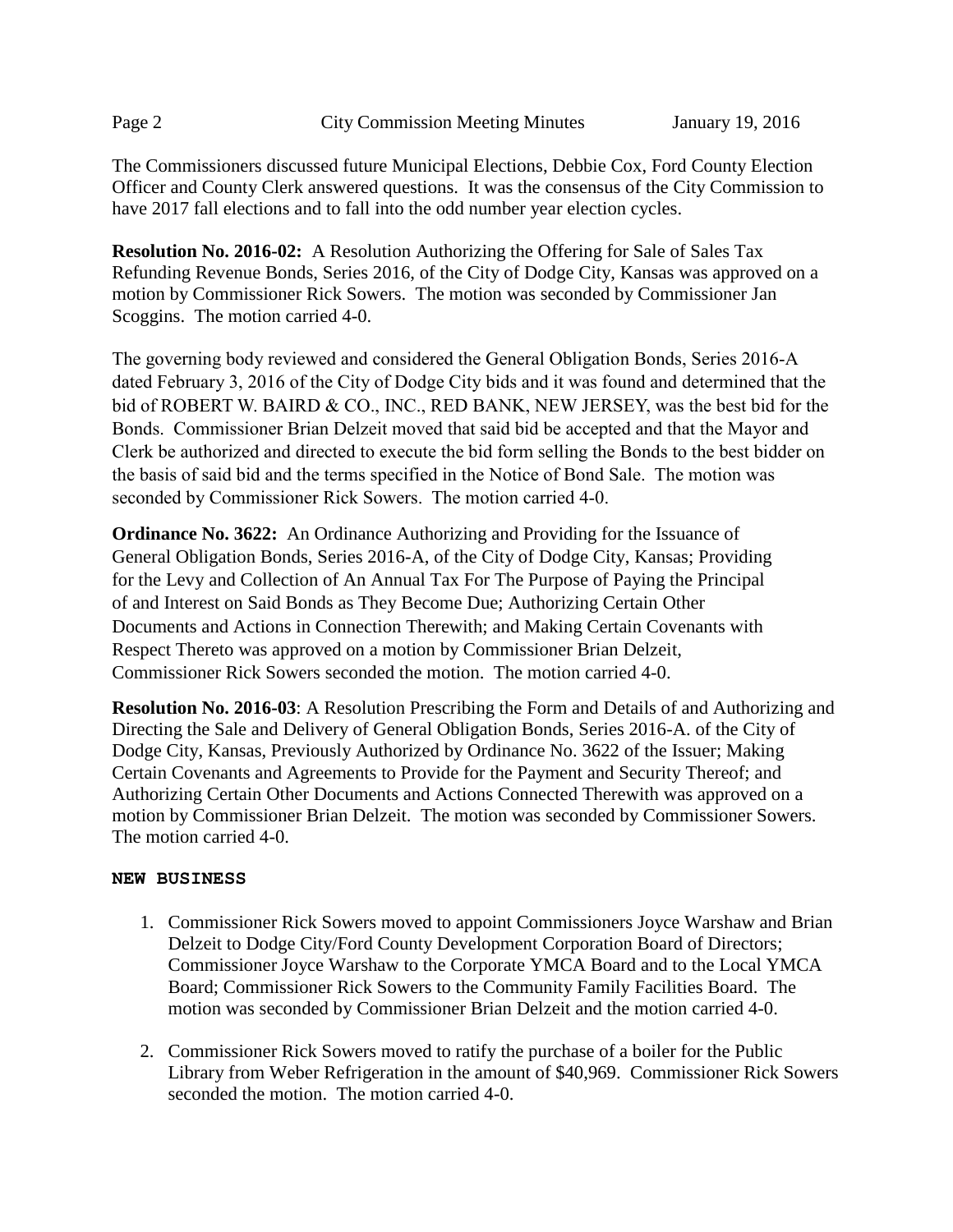The Commissioners discussed future Municipal Elections, Debbie Cox, Ford County Election Officer and County Clerk answered questions. It was the consensus of the City Commission to have 2017 fall elections and to fall into the odd number year election cycles.

**Resolution No. 2016-02:** A Resolution Authorizing the Offering for Sale of Sales Tax Refunding Revenue Bonds, Series 2016, of the City of Dodge City, Kansas was approved on a motion by Commissioner Rick Sowers. The motion was seconded by Commissioner Jan Scoggins. The motion carried 4-0.

The governing body reviewed and considered the General Obligation Bonds, Series 2016-A dated February 3, 2016 of the City of Dodge City bids and it was found and determined that the bid of ROBERT W. BAIRD & CO., INC., RED BANK, NEW JERSEY, was the best bid for the Bonds. Commissioner Brian Delzeit moved that said bid be accepted and that the Mayor and Clerk be authorized and directed to execute the bid form selling the Bonds to the best bidder on the basis of said bid and the terms specified in the Notice of Bond Sale. The motion was seconded by Commissioner Rick Sowers. The motion carried 4-0.

**Ordinance No. 3622:** An Ordinance Authorizing and Providing for the Issuance of General Obligation Bonds, Series 2016-A, of the City of Dodge City, Kansas; Providing for the Levy and Collection of An Annual Tax For The Purpose of Paying the Principal of and Interest on Said Bonds as They Become Due; Authorizing Certain Other Documents and Actions in Connection Therewith; and Making Certain Covenants with Respect Thereto was approved on a motion by Commissioner Brian Delzeit, Commissioner Rick Sowers seconded the motion. The motion carried 4-0.

**Resolution No. 2016-03**: A Resolution Prescribing the Form and Details of and Authorizing and Directing the Sale and Delivery of General Obligation Bonds, Series 2016-A. of the City of Dodge City, Kansas, Previously Authorized by Ordinance No. 3622 of the Issuer; Making Certain Covenants and Agreements to Provide for the Payment and Security Thereof; and Authorizing Certain Other Documents and Actions Connected Therewith was approved on a motion by Commissioner Brian Delzeit. The motion was seconded by Commissioner Sowers. The motion carried 4-0.

#### **NEW BUSINESS**

- 1. Commissioner Rick Sowers moved to appoint Commissioners Joyce Warshaw and Brian Delzeit to Dodge City/Ford County Development Corporation Board of Directors; Commissioner Joyce Warshaw to the Corporate YMCA Board and to the Local YMCA Board; Commissioner Rick Sowers to the Community Family Facilities Board. The motion was seconded by Commissioner Brian Delzeit and the motion carried 4-0.
- 2. Commissioner Rick Sowers moved to ratify the purchase of a boiler for the Public Library from Weber Refrigeration in the amount of \$40,969. Commissioner Rick Sowers seconded the motion. The motion carried 4-0.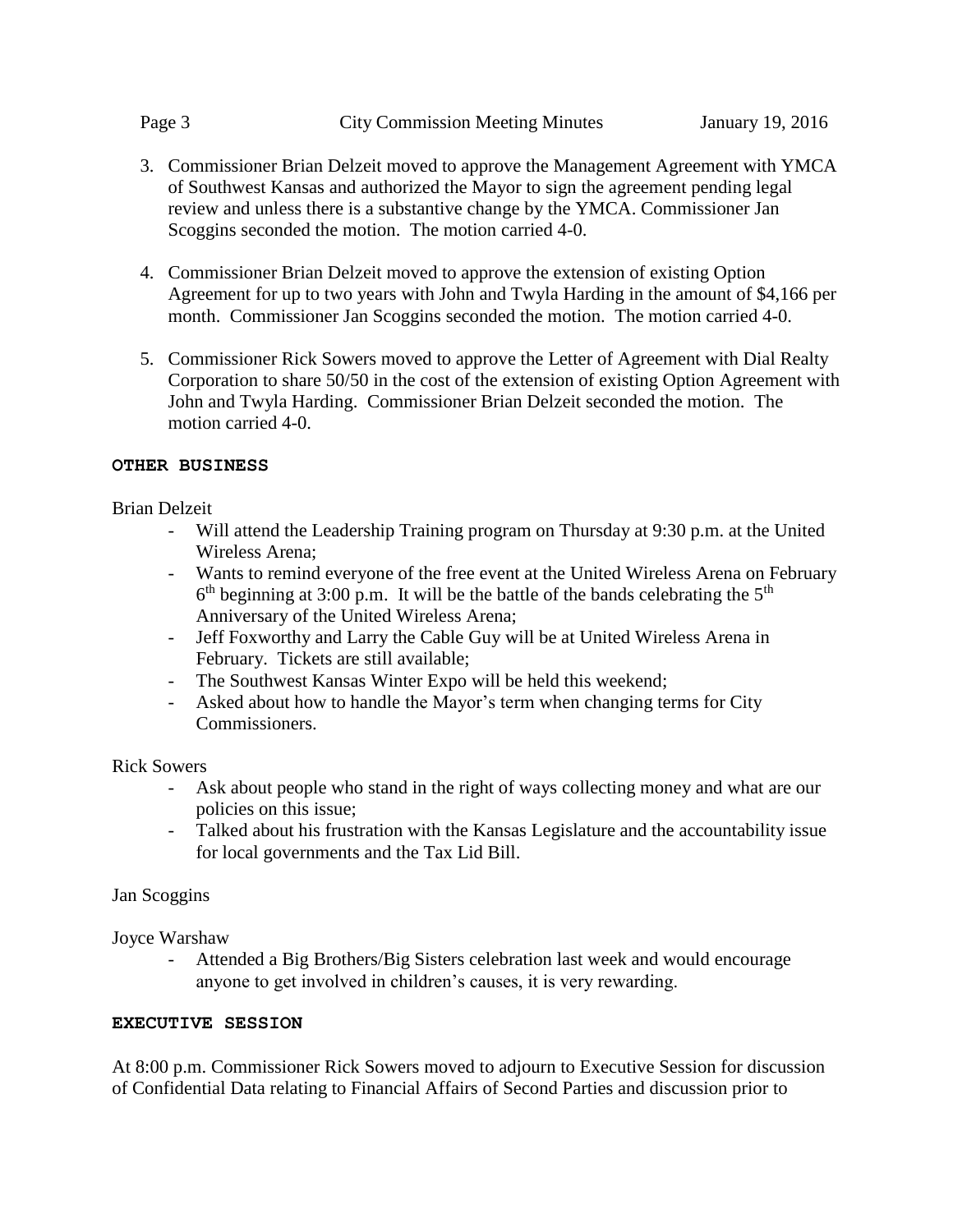- 3. Commissioner Brian Delzeit moved to approve the Management Agreement with YMCA of Southwest Kansas and authorized the Mayor to sign the agreement pending legal review and unless there is a substantive change by the YMCA. Commissioner Jan Scoggins seconded the motion. The motion carried 4-0.
- 4. Commissioner Brian Delzeit moved to approve the extension of existing Option Agreement for up to two years with John and Twyla Harding in the amount of \$4,166 per month. Commissioner Jan Scoggins seconded the motion. The motion carried 4-0.
- 5. Commissioner Rick Sowers moved to approve the Letter of Agreement with Dial Realty Corporation to share 50/50 in the cost of the extension of existing Option Agreement with John and Twyla Harding. Commissioner Brian Delzeit seconded the motion. The motion carried 4-0.

#### **OTHER BUSINESS**

Brian Delzeit

- Will attend the Leadership Training program on Thursday at 9:30 p.m. at the United Wireless Arena;
- Wants to remind everyone of the free event at the United Wireless Arena on February  $6<sup>th</sup>$  beginning at 3:00 p.m. It will be the battle of the bands celebrating the  $5<sup>th</sup>$ Anniversary of the United Wireless Arena;
- Jeff Foxworthy and Larry the Cable Guy will be at United Wireless Arena in February. Tickets are still available;
- The Southwest Kansas Winter Expo will be held this weekend;
- Asked about how to handle the Mayor's term when changing terms for City Commissioners.

Rick Sowers

- Ask about people who stand in the right of ways collecting money and what are our policies on this issue;
- Talked about his frustration with the Kansas Legislature and the accountability issue for local governments and the Tax Lid Bill.

#### Jan Scoggins

Joyce Warshaw

Attended a Big Brothers/Big Sisters celebration last week and would encourage anyone to get involved in children's causes, it is very rewarding.

#### **EXECUTIVE SESSION**

At 8:00 p.m. Commissioner Rick Sowers moved to adjourn to Executive Session for discussion of Confidential Data relating to Financial Affairs of Second Parties and discussion prior to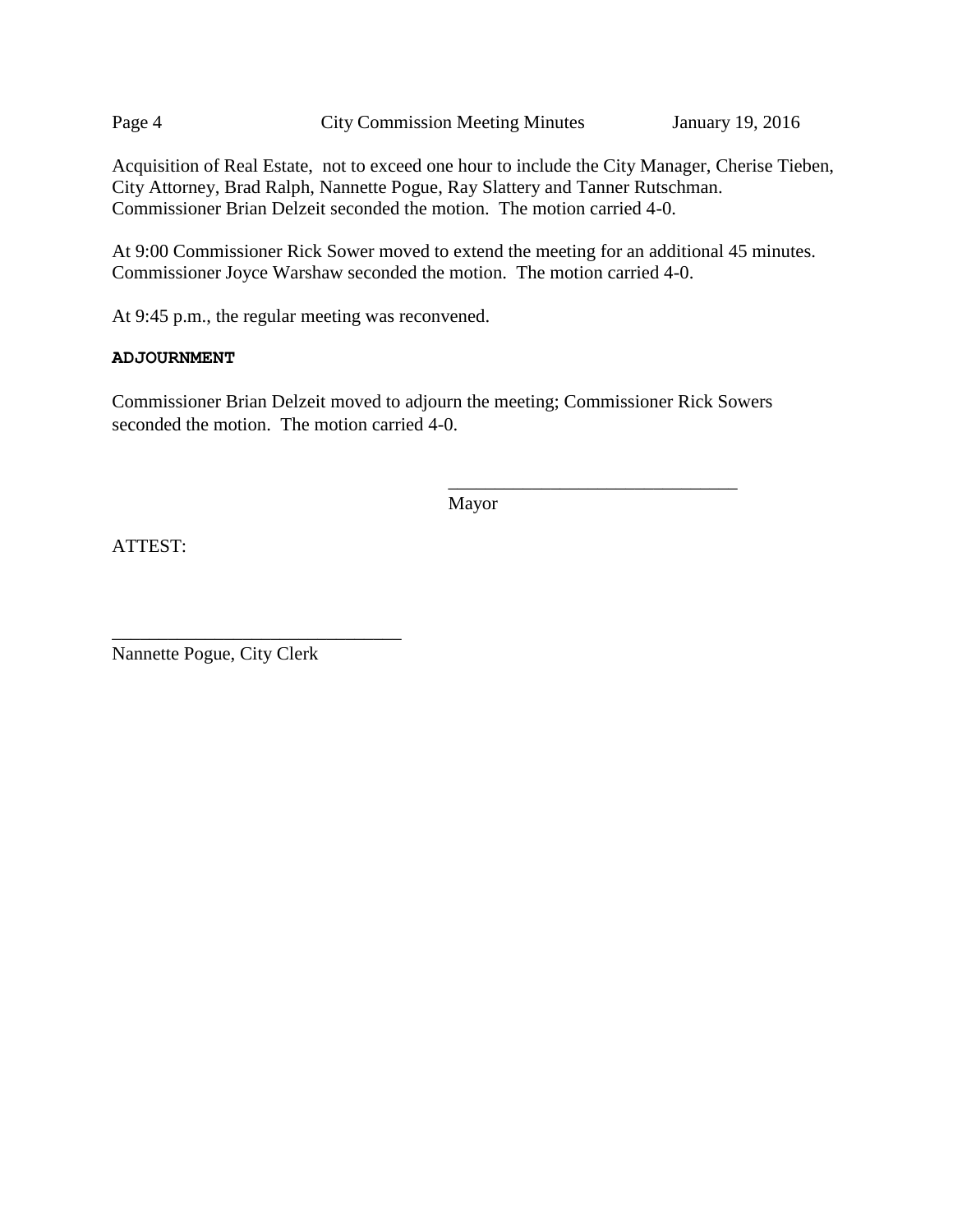Page 4 City Commission Meeting Minutes January 19, 2016

Acquisition of Real Estate, not to exceed one hour to include the City Manager, Cherise Tieben, City Attorney, Brad Ralph, Nannette Pogue, Ray Slattery and Tanner Rutschman. Commissioner Brian Delzeit seconded the motion. The motion carried 4-0.

At 9:00 Commissioner Rick Sower moved to extend the meeting for an additional 45 minutes. Commissioner Joyce Warshaw seconded the motion. The motion carried 4-0.

At 9:45 p.m., the regular meeting was reconvened.

#### **ADJOURNMENT**

Commissioner Brian Delzeit moved to adjourn the meeting; Commissioner Rick Sowers seconded the motion. The motion carried 4-0.

Mayor

\_\_\_\_\_\_\_\_\_\_\_\_\_\_\_\_\_\_\_\_\_\_\_\_\_\_\_\_\_\_\_

ATTEST:

Nannette Pogue, City Clerk

\_\_\_\_\_\_\_\_\_\_\_\_\_\_\_\_\_\_\_\_\_\_\_\_\_\_\_\_\_\_\_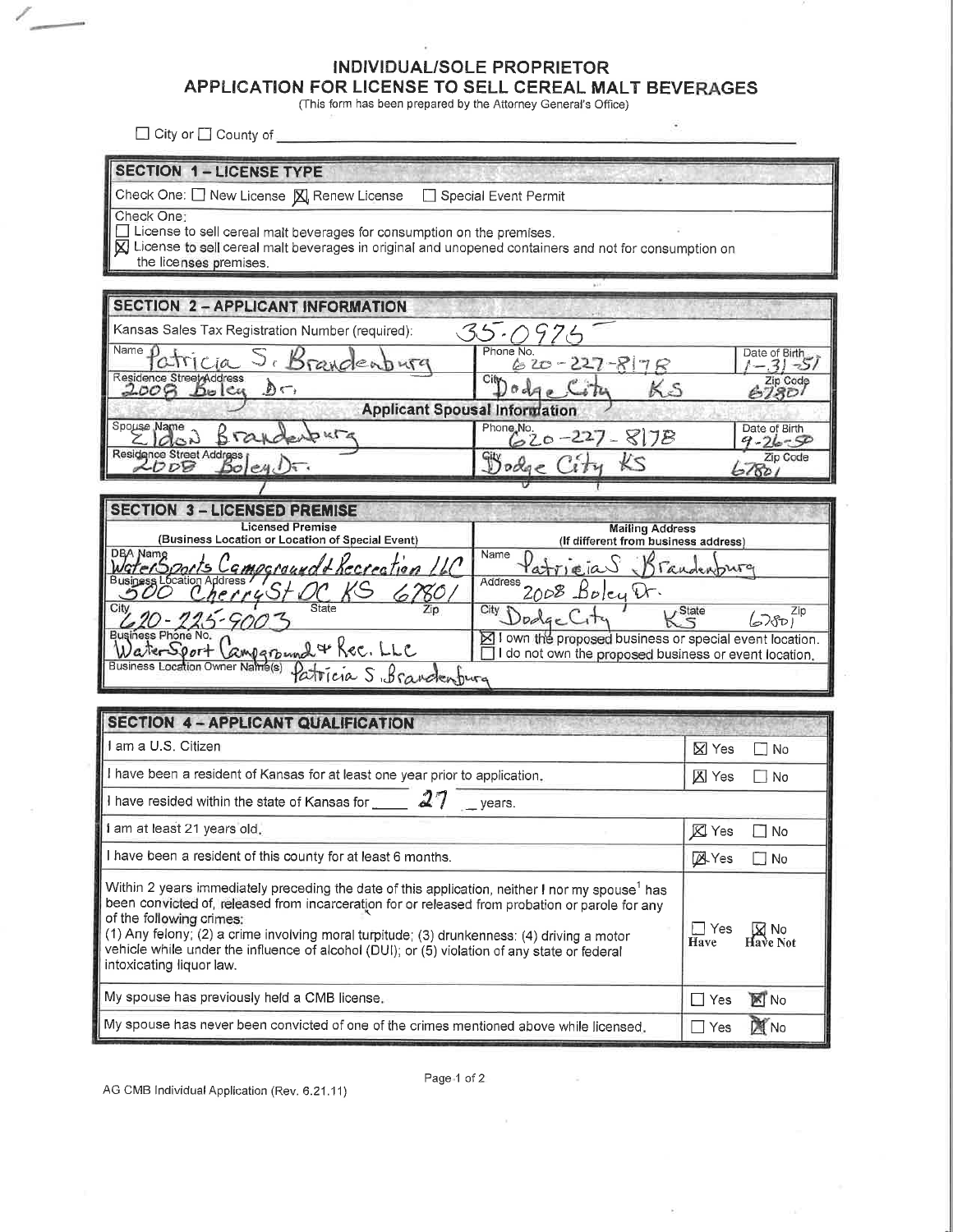#### INDIVIDUAL/SOLE PROPRIETOR

#### APPLICATION FOR LICENSE TO SELL CEREAL MALT BEVERAGES

(This form has been prepared by the Attorney General's Office)

 $\widehat{\bullet}$ 

 $\Box$  City or  $\Box$  County of  $\Box$ 

 $\mathbb{Z}$ 

| <b>SECTION 1-LICENSE TYPE</b>                                                                                                                                                                                                                                                                                                                                                                                                                                         |                                                                |                                |  |  |  |  |  |  |
|-----------------------------------------------------------------------------------------------------------------------------------------------------------------------------------------------------------------------------------------------------------------------------------------------------------------------------------------------------------------------------------------------------------------------------------------------------------------------|----------------------------------------------------------------|--------------------------------|--|--|--|--|--|--|
| Special Event Permit<br>Check One: $\Box$ New License $\boxtimes$ Renew License<br>Check One:                                                                                                                                                                                                                                                                                                                                                                         |                                                                |                                |  |  |  |  |  |  |
| $\sqsupset$ License to sell cereal malt beverages for consumption on the premises.                                                                                                                                                                                                                                                                                                                                                                                    |                                                                |                                |  |  |  |  |  |  |
| $\boxtimes$ License to sell cereal malt beverages in original and unopened containers and not for consumption on<br>the licenses premises.                                                                                                                                                                                                                                                                                                                            |                                                                |                                |  |  |  |  |  |  |
|                                                                                                                                                                                                                                                                                                                                                                                                                                                                       |                                                                |                                |  |  |  |  |  |  |
| <b>SECTION 2-APPLICANT INFORMATION</b>                                                                                                                                                                                                                                                                                                                                                                                                                                |                                                                |                                |  |  |  |  |  |  |
| Kansas Sales Tax Registration Number (required):                                                                                                                                                                                                                                                                                                                                                                                                                      | 35-097E                                                        |                                |  |  |  |  |  |  |
| Name $\mathcal{D}$<br>Patricia S. Brandenburg                                                                                                                                                                                                                                                                                                                                                                                                                         | Phone No.<br>$620 - 227 - 877$                                 | Date of Birth<br>$-31-51$      |  |  |  |  |  |  |
| Residence Street Address<br>, کال<br>$2008$ Doley                                                                                                                                                                                                                                                                                                                                                                                                                     | City-<br>0dA                                                   | 6780                           |  |  |  |  |  |  |
| <b>Applicant Spousal Information</b>                                                                                                                                                                                                                                                                                                                                                                                                                                  |                                                                |                                |  |  |  |  |  |  |
| Spouse Name<br>$d_{\mathcal{L}}$<br>$B$ rak                                                                                                                                                                                                                                                                                                                                                                                                                           | Phone No.<br>$20 - 227 - 878$                                  | Date of Birth<br>$9 - 26 - 56$ |  |  |  |  |  |  |
| Residence Street Address                                                                                                                                                                                                                                                                                                                                                                                                                                              | Zip Code<br>57801                                              |                                |  |  |  |  |  |  |
|                                                                                                                                                                                                                                                                                                                                                                                                                                                                       |                                                                |                                |  |  |  |  |  |  |
| <b>SECTION 3 - LICENSED PREMISE</b>                                                                                                                                                                                                                                                                                                                                                                                                                                   |                                                                |                                |  |  |  |  |  |  |
| <b>Licensed Premise</b><br>(Business Location or Location of Special Event)                                                                                                                                                                                                                                                                                                                                                                                           | <b>Mailing Address</b><br>(If different from business address) |                                |  |  |  |  |  |  |
| DBA Namg<br>Name<br>WaterSports Campground & Recreation LLC<br>Patricias Brandenburg                                                                                                                                                                                                                                                                                                                                                                                  |                                                                |                                |  |  |  |  |  |  |
| <b>Business Location Address</b><br>Address 2008 Boley Dr.<br>rryStC<br>ص پ                                                                                                                                                                                                                                                                                                                                                                                           |                                                                |                                |  |  |  |  |  |  |
| City.<br>$City$ $D\no$ <i>dqc</i><br>$K_S^{\text{State}}$<br>Zip<br>آمادها                                                                                                                                                                                                                                                                                                                                                                                            |                                                                |                                |  |  |  |  |  |  |
| Business Phone No.<br>⊠ I own the proposed business or special event location.<br>aterSport                                                                                                                                                                                                                                                                                                                                                                           |                                                                |                                |  |  |  |  |  |  |
| Campground & Rec. LLC P<br>I I do not own the proposed business or event location.<br>Business Location Owner Name(s)                                                                                                                                                                                                                                                                                                                                                 |                                                                |                                |  |  |  |  |  |  |
|                                                                                                                                                                                                                                                                                                                                                                                                                                                                       |                                                                |                                |  |  |  |  |  |  |
| <b>SECTION 4 - APPLICANT QUALIFICATION</b>                                                                                                                                                                                                                                                                                                                                                                                                                            |                                                                |                                |  |  |  |  |  |  |
| I am a U.S. Citizen                                                                                                                                                                                                                                                                                                                                                                                                                                                   |                                                                | $\boxtimes$ Yes<br>∣ ∃ No      |  |  |  |  |  |  |
| I have been a resident of Kansas for at least one year prior to application.                                                                                                                                                                                                                                                                                                                                                                                          |                                                                | <b>区</b> Yes<br>∟∣No           |  |  |  |  |  |  |
| I have resided within the state of Kansas for $\mathcal{Z}$ $\mathcal{Z}$ years.                                                                                                                                                                                                                                                                                                                                                                                      |                                                                |                                |  |  |  |  |  |  |
| i am at least 21 years old.                                                                                                                                                                                                                                                                                                                                                                                                                                           |                                                                | <b>区 Yes</b><br>∣No            |  |  |  |  |  |  |
| I have been a resident of this county for at least 6 months.                                                                                                                                                                                                                                                                                                                                                                                                          | <b>A</b> Yes<br>$\square$ No                                   |                                |  |  |  |  |  |  |
| Within 2 years immediately preceding the date of this application, neither I nor my spouse <sup>1</sup> has<br>been convicted of, released from incarceration for or released from probation or parole for any<br>of the following crimes:<br>(1) Any felony; (2) a crime involving moral turpitude; (3) drunkenness: (4) driving a motor<br>vehicle while under the influence of alcohol (DUI); or (5) violation of any state or federal<br>intoxicating liquor law. | $\Box$ Yes<br><b>X</b> No<br>Have<br>Have Not                  |                                |  |  |  |  |  |  |
| My spouse has previously held a CMB license.                                                                                                                                                                                                                                                                                                                                                                                                                          |                                                                | No.<br>$\Box$ Yes              |  |  |  |  |  |  |
| My spouse has never been convicted of one of the crimes mentioned above while licensed.                                                                                                                                                                                                                                                                                                                                                                               | <b>X</b> No<br>$\Box$ Yes                                      |                                |  |  |  |  |  |  |

Page 1 of 2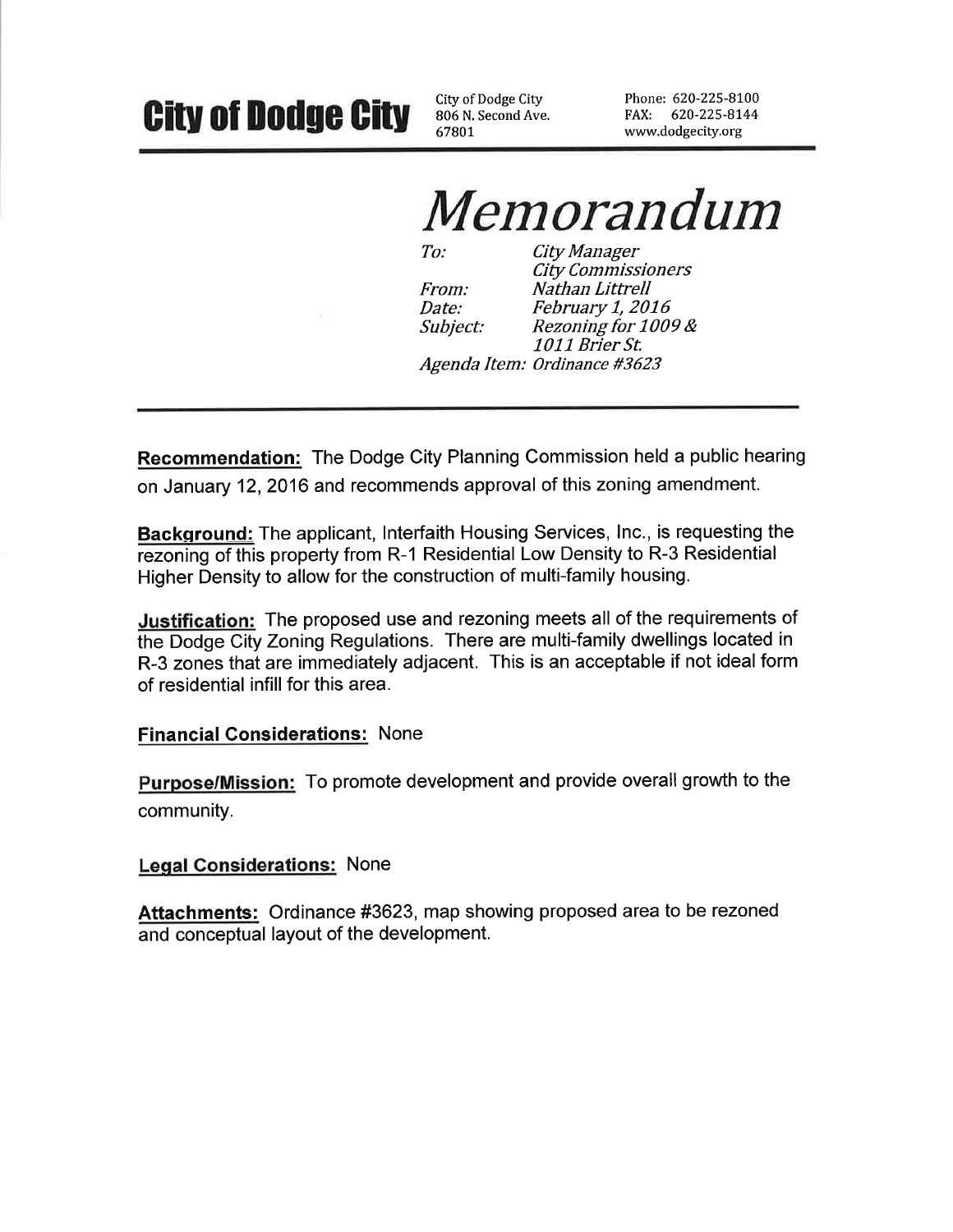# **City of Dodge City**

City of Dodge City 806 N. Second Ave. 67801

Phone: 620-225-8100 FAX: 620-225-8144 www.dodgecity.org

# *Memorandum*

 $To:$ **City Manager City Commissioners** From: Nathan Littrell February 1, 2016 *Date:* Rezoning for 1009 & *Subject:* 1011 Brier St. Agenda Item: Ordinance #3623

**Recommendation:** The Dodge City Planning Commission held a public hearing on January 12, 2016 and recommends approval of this zoning amendment.

**Background:** The applicant, Interfaith Housing Services, Inc., is requesting the rezoning of this property from R-1 Residential Low Density to R-3 Residential Higher Density to allow for the construction of multi-family housing.

Justification: The proposed use and rezoning meets all of the requirements of the Dodge City Zoning Regulations. There are multi-family dwellings located in R-3 zones that are immediately adjacent. This is an acceptable if not ideal form of residential infill for this area.

#### **Financial Considerations: None**

**Purpose/Mission:** To promote development and provide overall growth to the community.

#### **Legal Considerations: None**

Attachments: Ordinance #3623, map showing proposed area to be rezoned and conceptual layout of the development.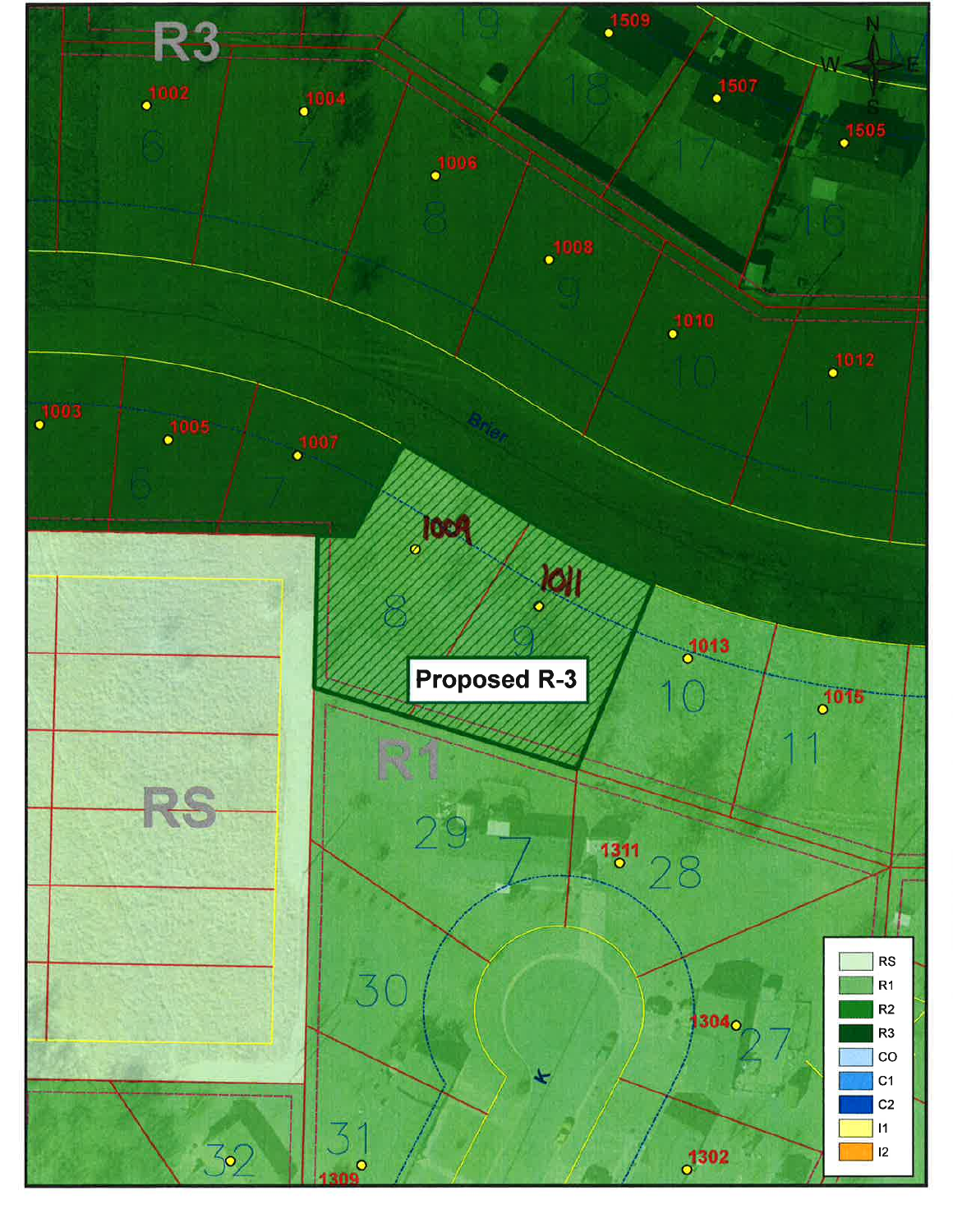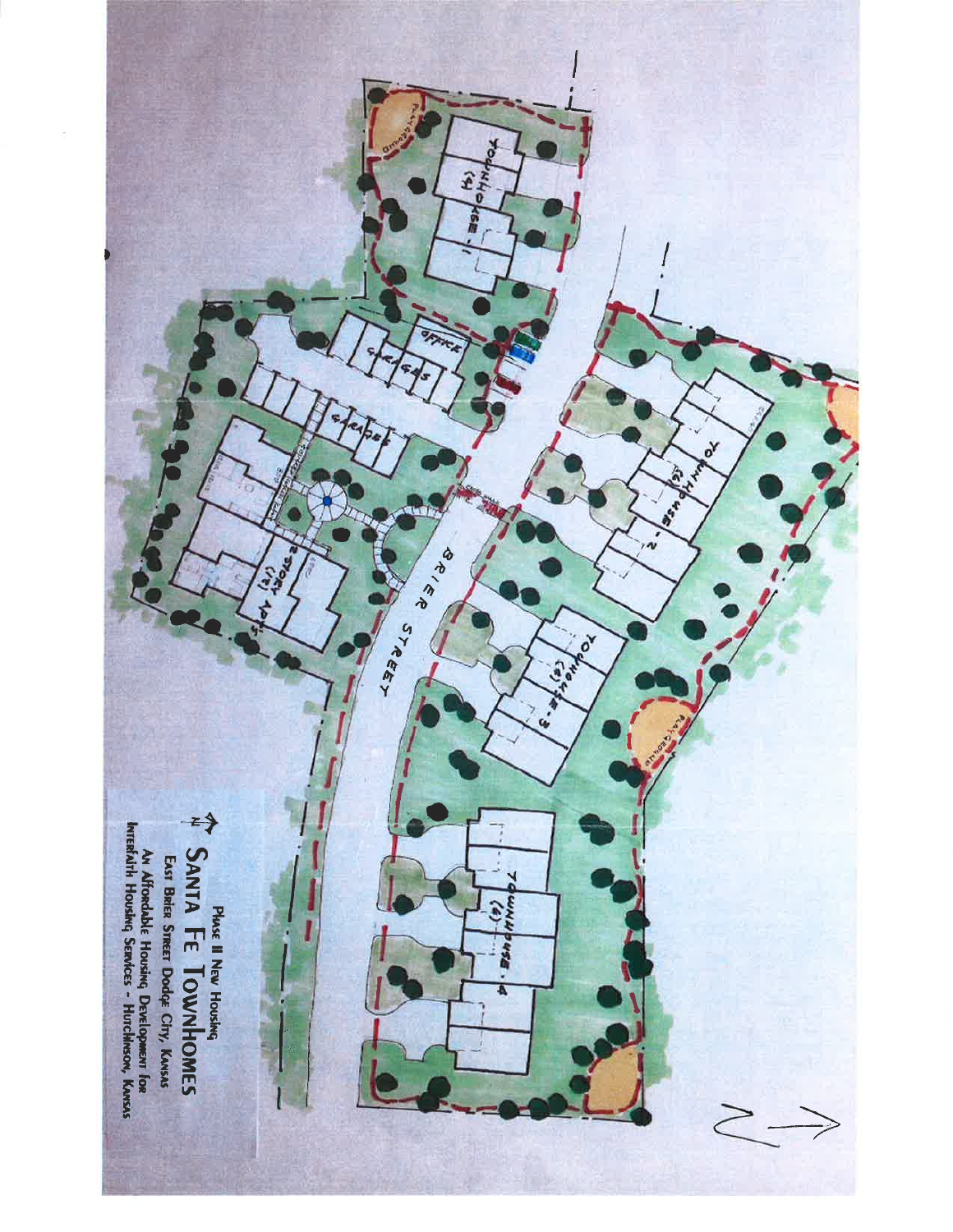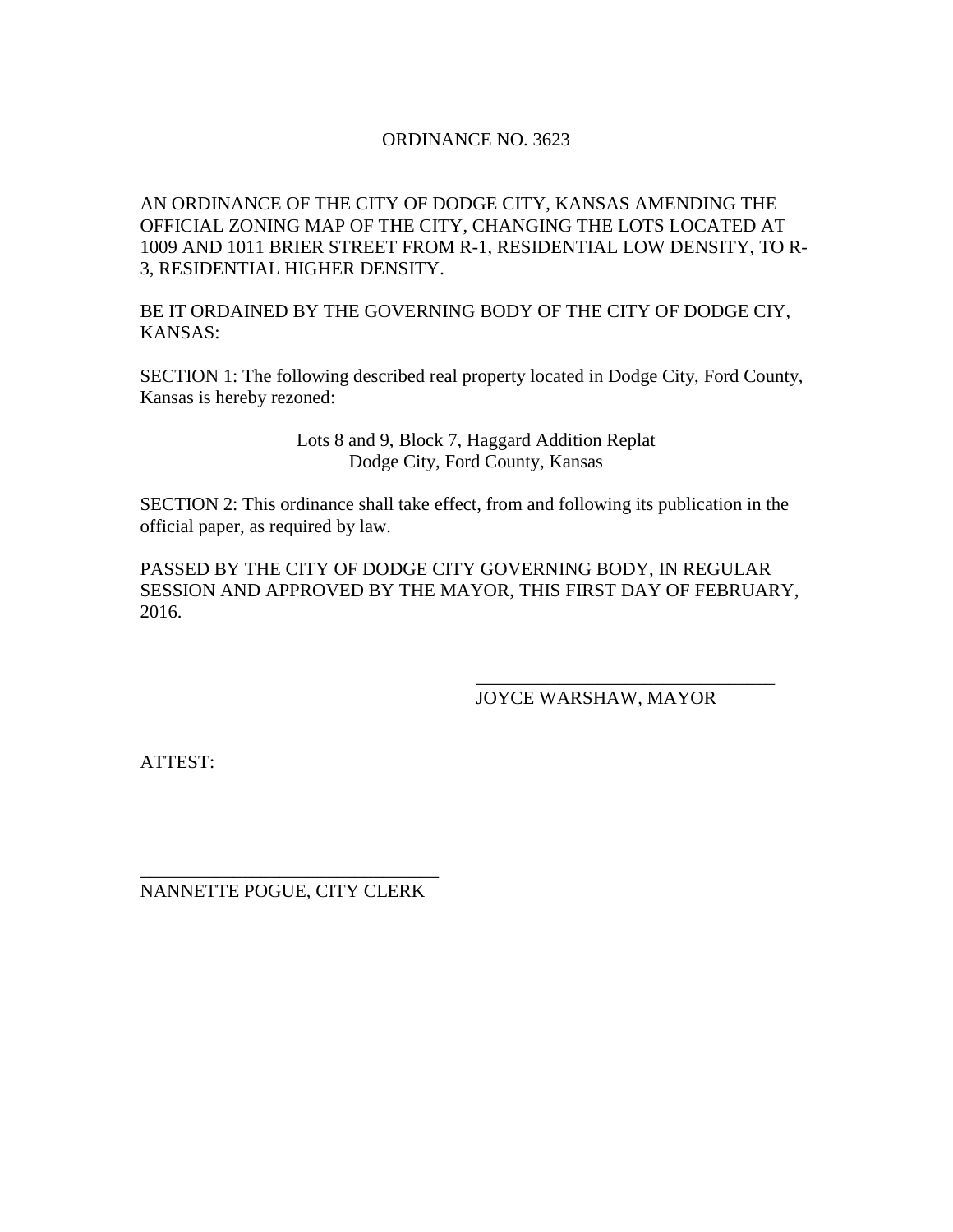#### ORDINANCE NO. 3623

AN ORDINANCE OF THE CITY OF DODGE CITY, KANSAS AMENDING THE OFFICIAL ZONING MAP OF THE CITY, CHANGING THE LOTS LOCATED AT 1009 AND 1011 BRIER STREET FROM R-1, RESIDENTIAL LOW DENSITY, TO R-3, RESIDENTIAL HIGHER DENSITY.

BE IT ORDAINED BY THE GOVERNING BODY OF THE CITY OF DODGE CIY, KANSAS:

SECTION 1: The following described real property located in Dodge City, Ford County, Kansas is hereby rezoned:

> Lots 8 and 9, Block 7, Haggard Addition Replat Dodge City, Ford County, Kansas

SECTION 2: This ordinance shall take effect, from and following its publication in the official paper, as required by law.

PASSED BY THE CITY OF DODGE CITY GOVERNING BODY, IN REGULAR SESSION AND APPROVED BY THE MAYOR, THIS FIRST DAY OF FEBRUARY, 2016.

JOYCE WARSHAW, MAYOR

\_\_\_\_\_\_\_\_\_\_\_\_\_\_\_\_\_\_\_\_\_\_\_\_\_\_\_\_\_\_\_\_

ATTEST:

\_\_\_\_\_\_\_\_\_\_\_\_\_\_\_\_\_\_\_\_\_\_\_\_\_\_\_\_\_\_\_\_ NANNETTE POGUE, CITY CLERK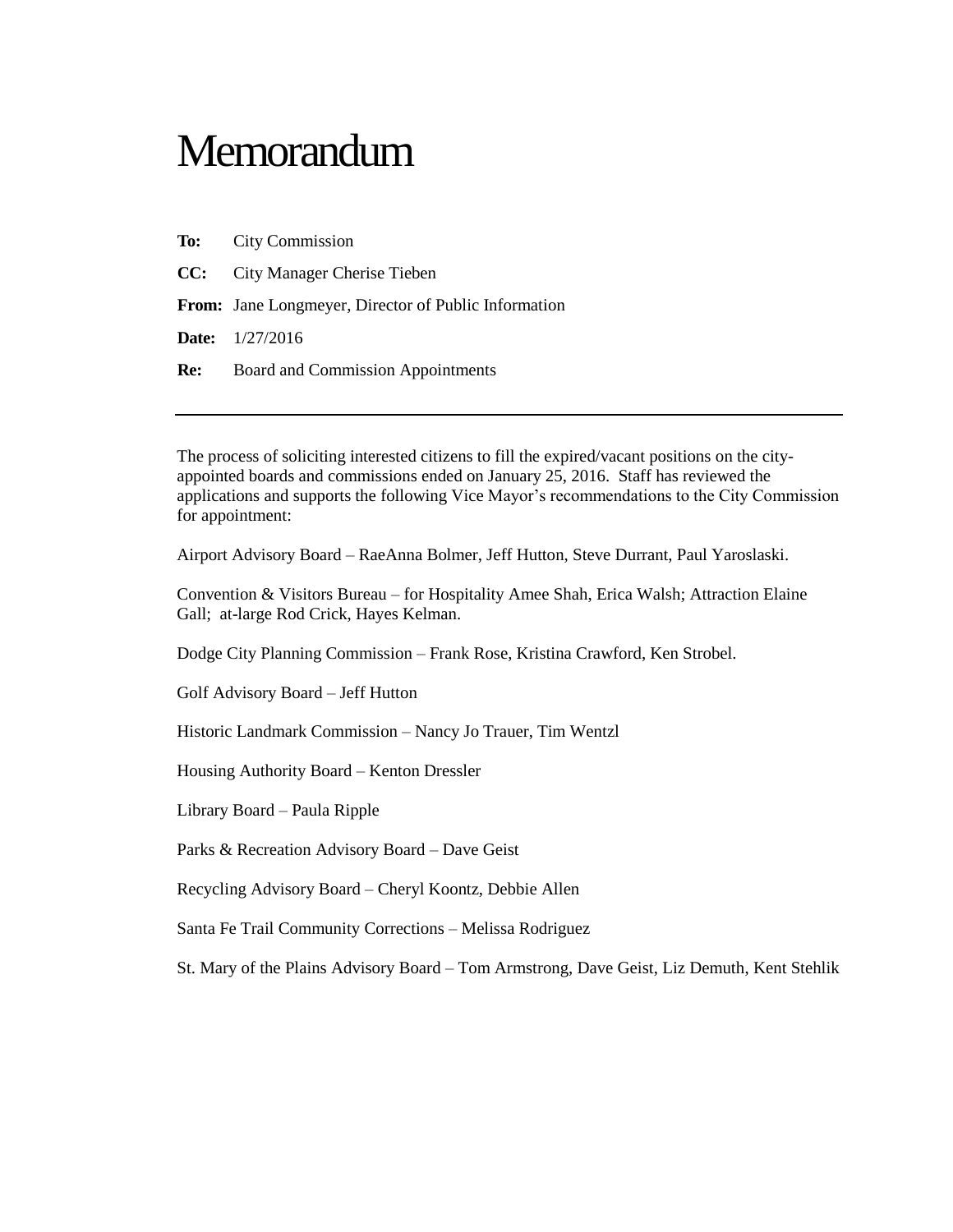## **Memorandum**

- **To:** City Commission
- **CC:** City Manager Cherise Tieben

**From:** Jane Longmeyer, Director of Public Information

**Date:** 1/27/2016

**Re:** Board and Commission Appointments

The process of soliciting interested citizens to fill the expired/vacant positions on the cityappointed boards and commissions ended on January 25, 2016. Staff has reviewed the applications and supports the following Vice Mayor's recommendations to the City Commission for appointment:

Airport Advisory Board – RaeAnna Bolmer, Jeff Hutton, Steve Durrant, Paul Yaroslaski.

Convention & Visitors Bureau – for Hospitality Amee Shah, Erica Walsh; Attraction Elaine Gall; at-large Rod Crick, Hayes Kelman.

Dodge City Planning Commission – Frank Rose, Kristina Crawford, Ken Strobel.

Golf Advisory Board – Jeff Hutton

Historic Landmark Commission – Nancy Jo Trauer, Tim Wentzl

Housing Authority Board – Kenton Dressler

Library Board – Paula Ripple

Parks & Recreation Advisory Board – Dave Geist

Recycling Advisory Board – Cheryl Koontz, Debbie Allen

Santa Fe Trail Community Corrections – Melissa Rodriguez

St. Mary of the Plains Advisory Board – Tom Armstrong, Dave Geist, Liz Demuth, Kent Stehlik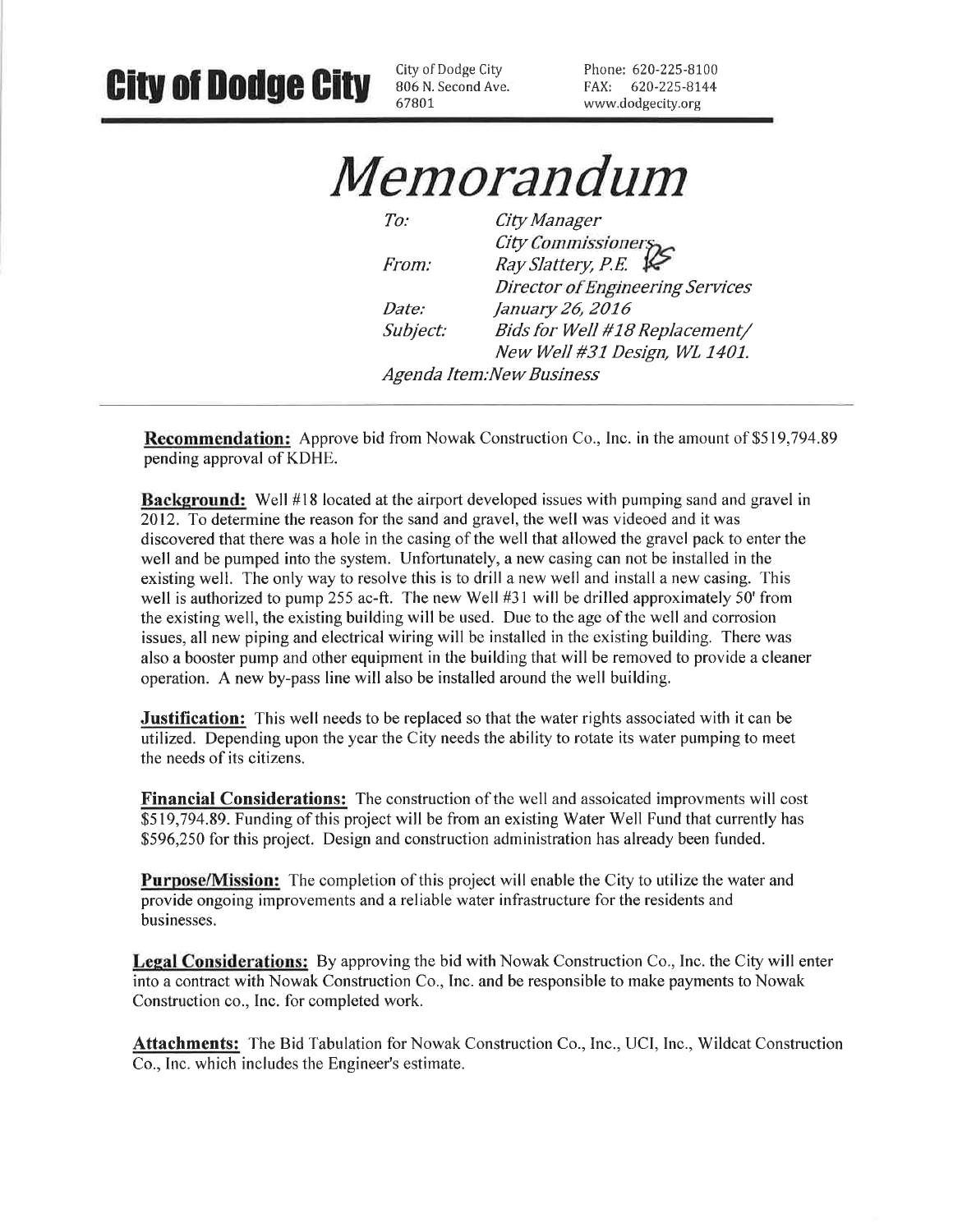**City of Dodge City** 

City of Dodge City 806 N. Second Ave. 67801

Phone: 620-225-8100 FAX: 620-225-8144 www.dodgecity.org

*Memorandum* 

 $To:$ City Manager City Commissioners<br>Ray Slattery, P.E. From: **Director of Engineering Services** January 26, 2016 Date: Bids for Well #18 Replacement/ Subject: New Well #31 Design, WL 1401. Agenda Item:New Business

**Recommendation:** Approve bid from Nowak Construction Co., Inc. in the amount of \$519,794.89 pending approval of KDHE.

**Background:** Well #18 located at the airport developed issues with pumping sand and gravel in 2012. To determine the reason for the sand and gravel, the well was videoed and it was discovered that there was a hole in the casing of the well that allowed the gravel pack to enter the well and be pumped into the system. Unfortunately, a new casing can not be installed in the existing well. The only way to resolve this is to drill a new well and install a new casing. This well is authorized to pump 255 ac-ft. The new Well  $#31$  will be drilled approximately 50' from the existing well, the existing building will be used. Due to the age of the well and corrosion issues, all new piping and electrical wiring will be installed in the existing building. There was also a booster pump and other equipment in the building that will be removed to provide a cleaner operation. A new by-pass line will also be installed around the well building.

**Justification:** This well needs to be replaced so that the water rights associated with it can be utilized. Depending upon the year the City needs the ability to rotate its water pumping to meet the needs of its citizens.

**Financial Considerations:** The construction of the well and assoicated improvments will cost \$519,794.89. Funding of this project will be from an existing Water Well Fund that currently has \$596,250 for this project. Design and construction administration has already been funded.

**Purpose/Mission:** The completion of this project will enable the City to utilize the water and provide ongoing improvements and a reliable water infrastructure for the residents and businesses.

**Legal Considerations:** By approving the bid with Nowak Construction Co., Inc. the City will enter into a contract with Nowak Construction Co., Inc. and be responsible to make payments to Nowak Construction co., Inc. for completed work.

Attachments: The Bid Tabulation for Nowak Construction Co., Inc., UCI, Inc., Wildcat Construction Co., Inc. which includes the Engineer's estimate.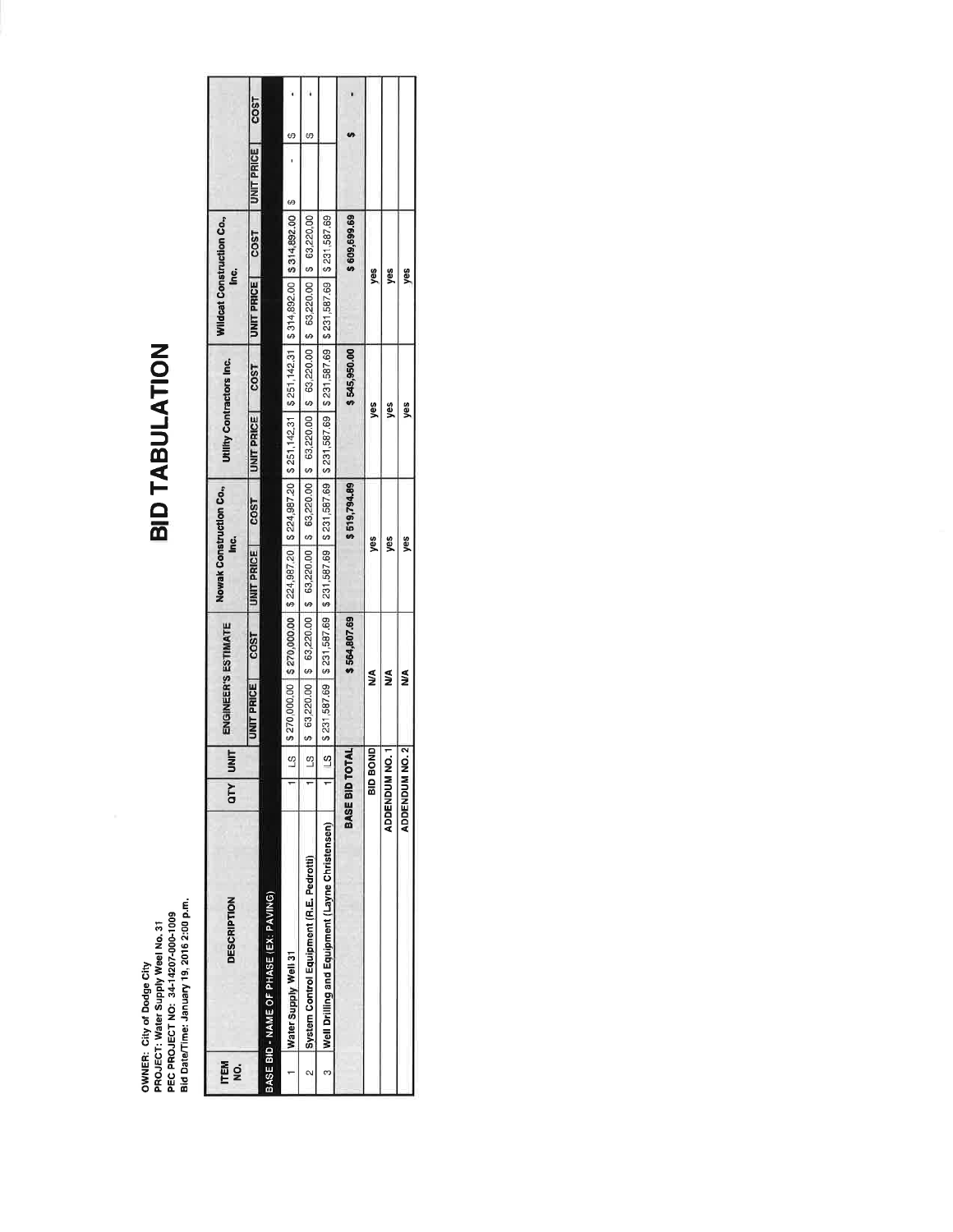OWNER: City of Dodge City<br>PROJECT: Water Supply Weel No. 31<br>PEC PROJECT NO: 34-14207-000-1009<br>Bid Date/Time: January 19, 2016 2:00 p.m.

# **BID TABULATION**

| <b>ITEM</b><br>g | <b>DESCRIPTION</b>                              | <b>SIM</b><br>I x10          | ENGINEER'S ESTIMATE                                                                                                    |                   |                                                                                                        | Nowak Construction Co.,<br><u>is</u> |                   | Utlifty Contractors Inc. | <u>i</u> c.       | Wildcat Construction Co., |                   |             |
|------------------|-------------------------------------------------|------------------------------|------------------------------------------------------------------------------------------------------------------------|-------------------|--------------------------------------------------------------------------------------------------------|--------------------------------------|-------------------|--------------------------|-------------------|---------------------------|-------------------|-------------|
|                  |                                                 |                              | UNIT PRICE                                                                                                             | CO <sub>S</sub> T | UNIT PRICE                                                                                             | <b>COST</b>                          | <b>UNIT PRICE</b> | COST                     | <b>UNIT PRICE</b> | <b>COST</b>               | <b>UNIT PRICE</b> | <b>COST</b> |
|                  | BASE BID - NAME OF PHASE (EX: PAVING)           |                              |                                                                                                                        |                   |                                                                                                        |                                      |                   |                          |                   |                           |                   |             |
|                  | Water Supply Well 31                            | $\omega$                     | \$270,000,000   \$270,000,00   \$224,987.20   \$224,987.20   \$251,142.31   \$251,142.31   \$314,892.00   \$314,892.00 |                   |                                                                                                        |                                      |                   |                          |                   |                           | မာ                | Φ           |
| $\overline{2}$   | System Control Equipment (R.E. Pedrotti)        | ς                            |                                                                                                                        |                   | \$63,220.00  \$63,220.00  \$63,220.00  \$63,220.00  \$63,220.00  \$63,220.00  \$63,220.00  \$63,220.00 |                                      |                   |                          |                   |                           |                   | 69          |
| m                | Well Drilling and Equipment (Layne Christensen) | s<br>L                       | \$ 221,587.69   \$ 231,587.69   \$ 231,587.69   \$ 231,587.69   \$ 231,587.69   \$ 231,587.69   \$ 231,587.69   \$ 231 |                   |                                                                                                        |                                      |                   |                          |                   |                           |                   |             |
|                  |                                                 | BASE BID TOTAL               |                                                                                                                        | \$564,807.69      |                                                                                                        | \$519,794.89                         |                   | \$545,950.00             |                   | \$609,699.69              |                   |             |
|                  |                                                 | BID BOND                     | ≸                                                                                                                      |                   |                                                                                                        | ٥g                                   |                   | še                       |                   | š                         |                   |             |
|                  |                                                 | ADDENDUM NO.1                | ≸                                                                                                                      |                   |                                                                                                        | š                                    |                   | gs<br>S                  |                   | š                         |                   |             |
|                  |                                                 | ี<br>อ๋<br><b>ADDENDUM N</b> | ≸                                                                                                                      |                   |                                                                                                        | gs                                   |                   | g                        |                   | š                         |                   |             |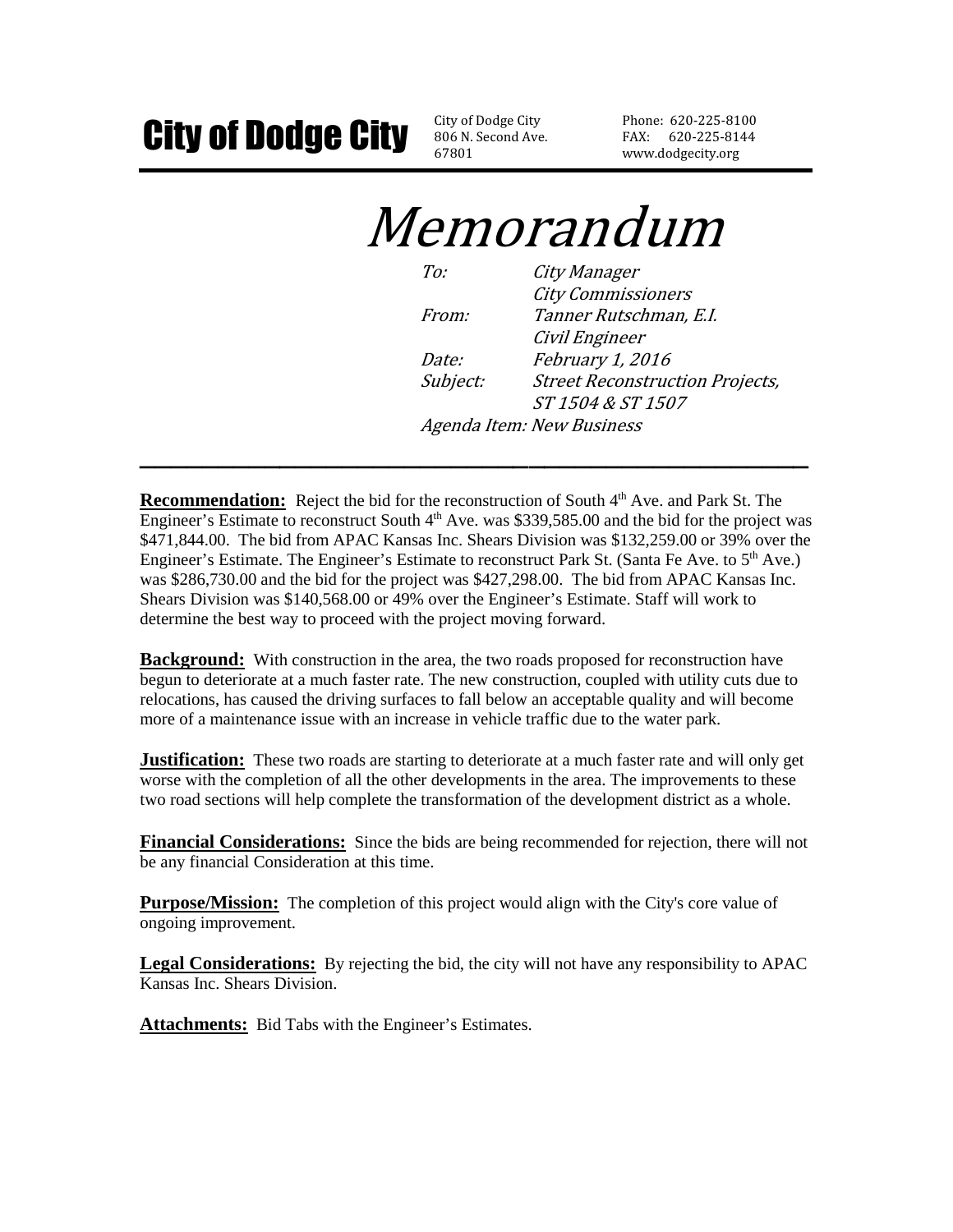806 N. Second Ave. 67801

Phone: 620-225-8100 FAX: 620-225-8144 www.dodgecity.org

# Memorandum

| $T\alpha$    | City Manager                           |
|--------------|----------------------------------------|
|              | <b>City Commissioners</b>              |
| <i>From:</i> | Tanner Rutschman, E.I.                 |
|              | Civil Engineer                         |
| Date:        | February 1, 2016                       |
| Subject:     | <b>Street Reconstruction Projects,</b> |
|              | ST 1504 & ST 1507                      |
|              | Agenda Item: New Business              |

**Recommendation:** Reject the bid for the reconstruction of South 4<sup>th</sup> Ave. and Park St. The Engineer's Estimate to reconstruct South  $4<sup>th</sup>$  Ave. was \$339,585.00 and the bid for the project was \$471,844.00. The bid from APAC Kansas Inc. Shears Division was \$132,259.00 or 39% over the Engineer's Estimate. The Engineer's Estimate to reconstruct Park St. (Santa Fe Ave. to  $5<sup>th</sup>$  Ave.) was \$286,730.00 and the bid for the project was \$427,298.00. The bid from APAC Kansas Inc. Shears Division was \$140,568.00 or 49% over the Engineer's Estimate. Staff will work to determine the best way to proceed with the project moving forward.

**\_\_\_\_\_\_\_\_\_\_\_\_\_\_\_\_\_\_\_\_\_\_\_\_\_\_\_\_\_\_\_\_\_\_\_\_\_\_\_\_\_\_\_** 

**Background:** With construction in the area, the two roads proposed for reconstruction have begun to deteriorate at a much faster rate. The new construction, coupled with utility cuts due to relocations, has caused the driving surfaces to fall below an acceptable quality and will become more of a maintenance issue with an increase in vehicle traffic due to the water park.

**Justification:** These two roads are starting to deteriorate at a much faster rate and will only get worse with the completion of all the other developments in the area. The improvements to these two road sections will help complete the transformation of the development district as a whole.

**Financial Considerations:** Since the bids are being recommended for rejection, there will not be any financial Consideration at this time.

**Purpose/Mission:** The completion of this project would align with the City's core value of ongoing improvement.

**Legal Considerations:** By rejecting the bid, the city will not have any responsibility to APAC Kansas Inc. Shears Division.

Attachments: Bid Tabs with the Engineer's Estimates.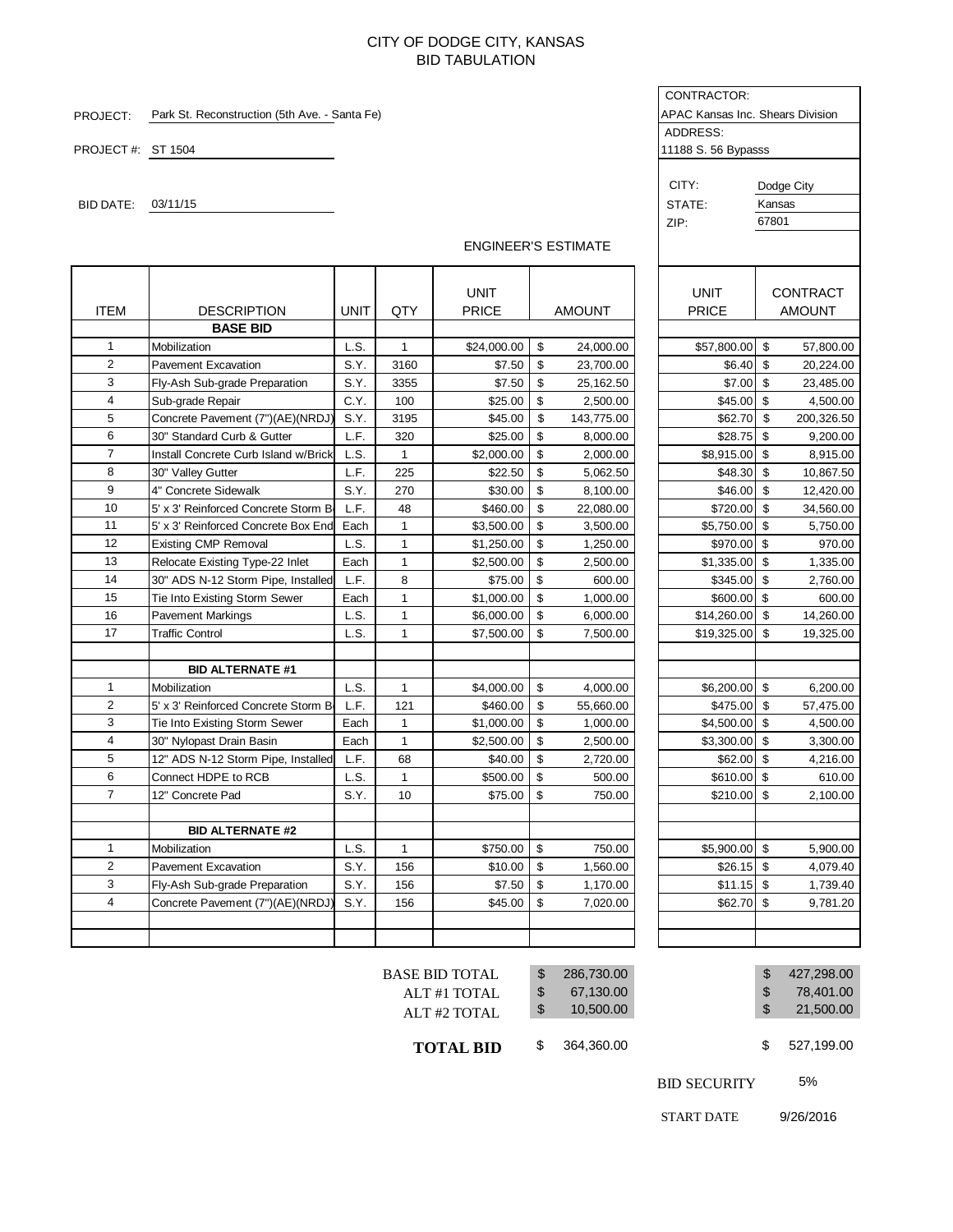#### CITY OF DODGE CITY, KANSAS BID TABULATION

|                   |                                               |             |              |                            |                           |               | CONTRACTOR:                      |        |                 |
|-------------------|-----------------------------------------------|-------------|--------------|----------------------------|---------------------------|---------------|----------------------------------|--------|-----------------|
| PROJECT:          | Park St. Reconstruction (5th Ave. - Santa Fe) |             |              |                            |                           |               | APAC Kansas Inc. Shears Division |        |                 |
|                   |                                               |             |              |                            |                           |               | ADDRESS:                         |        |                 |
| PROJECT#: ST 1504 |                                               |             |              |                            |                           |               | 11188 S. 56 Bypasss              |        |                 |
|                   |                                               |             |              |                            |                           |               |                                  |        |                 |
|                   |                                               |             |              |                            |                           |               | CITY:                            |        | Dodge City      |
| BID DATE:         | 03/11/15                                      |             |              |                            |                           |               | STATE:                           | Kansas |                 |
|                   |                                               |             |              |                            |                           |               | ZIP:                             | 67801  |                 |
|                   |                                               |             |              | <b>ENGINEER'S ESTIMATE</b> |                           |               |                                  |        |                 |
|                   |                                               |             |              |                            |                           |               |                                  |        |                 |
|                   |                                               |             |              |                            |                           |               |                                  |        |                 |
|                   |                                               |             |              | <b>UNIT</b>                |                           |               | <b>UNIT</b>                      |        | <b>CONTRACT</b> |
| <b>ITEM</b>       | <b>DESCRIPTION</b>                            | <b>UNIT</b> | QTY          | <b>PRICE</b>               |                           | <b>AMOUNT</b> | <b>PRICE</b>                     |        | <b>AMOUNT</b>   |
|                   | <b>BASE BID</b>                               |             |              |                            |                           |               |                                  |        |                 |
| 1                 | Mobilization                                  | L.S.        | 1            | \$24,000.00                | \$                        | 24,000.00     | \$57,800.00                      | \$     | 57,800.00       |
| $\overline{2}$    | <b>Pavement Excavation</b>                    | S.Y.        | 3160         | \$7.50                     | \$                        | 23,700.00     | \$6.40                           | \$     | 20,224.00       |
| 3                 | Fly-Ash Sub-grade Preparation                 | S.Y.        | 3355         | \$7.50                     | \$                        | 25,162.50     | \$7.00                           | \$     | 23,485.00       |
| $\overline{4}$    | Sub-grade Repair                              | C.Y.        | 100          | \$25.00                    | \$                        | 2,500.00      | \$45.00                          | \$     | 4,500.00        |
| 5                 | Concrete Pavement (7")(AE)(NRDJ)              | S.Y.        | 3195         | \$45.00                    | \$                        | 143,775.00    | \$62.70                          | \$     | 200,326.50      |
| 6                 | 30" Standard Curb & Gutter                    | L.F.        | 320          | \$25.00                    | \$                        | 8,000.00      | \$28.75                          | \$     | 9,200.00        |
| $\overline{7}$    | Install Concrete Curb Island w/Brick          | L.S.        | $\mathbf{1}$ | \$2,000.00                 | \$                        | 2,000.00      | \$8,915.00                       | \$     | 8,915.00        |
| 8                 | 30" Valley Gutter                             | L.F.        | 225          | \$22.50                    | \$                        | 5,062.50      | \$48.30                          | \$     | 10,867.50       |
| 9                 | 4" Concrete Sidewalk                          | S.Y.        | 270          | \$30.00                    | \$                        | 8,100.00      | \$46.00                          | \$     | 12,420.00       |
| 10                | 5' x 3' Reinforced Concrete Storm B           | L.F.        | 48           | \$460.00                   | \$                        | 22,080.00     | \$720.00                         | \$     | 34,560.00       |
| 11                | 5' x 3' Reinforced Concrete Box End           | Each        | $\mathbf{1}$ | \$3,500.00                 | \$                        | 3,500.00      | \$5,750.00                       | \$     | 5,750.00        |
| 12                | <b>Existing CMP Removal</b>                   | L.S.        | 1            | \$1,250.00                 | \$                        | 1,250.00      | \$970.00                         | \$     | 970.00          |
| 13                | Relocate Existing Type-22 Inlet               | Each        | $\mathbf{1}$ | \$2,500.00                 | \$                        | 2,500.00      | \$1,335.00                       | \$     | 1,335.00        |
| 14                | 30" ADS N-12 Storm Pipe, Installed            | L.F.        | 8            | \$75.00                    | \$                        | 600.00        | \$345.00                         | \$     | 2,760.00        |
| 15                | Tie Into Existing Storm Sewer                 | Each        | $\mathbf{1}$ | \$1,000.00                 | \$                        | 1,000.00      | \$600.00                         | \$     | 600.00          |
| 16                | <b>Pavement Markings</b>                      | L.S.        | $\mathbf{1}$ | \$6,000.00                 | \$                        | 6,000.00      | \$14,260.00                      | \$     | 14,260.00       |
| 17                | Traffic Control                               | L.S.        | $\mathbf{1}$ | \$7,500.00                 | \$                        | 7,500.00      | \$19,325.00                      | \$     | 19,325.00       |
|                   |                                               |             |              |                            |                           |               |                                  |        |                 |
|                   | <b>BID ALTERNATE #1</b>                       |             |              |                            |                           |               |                                  |        |                 |
| 1                 | Mobilization                                  | L.S.        | $\mathbf{1}$ | \$4,000.00                 | \$                        | 4,000.00      | \$6,200.00                       | \$     | 6,200.00        |
| $\overline{2}$    | 5' x 3' Reinforced Concrete Storm B           | L.F.        | 121          | \$460.00                   | \$                        | 55,660.00     | \$475.00                         | \$     | 57,475.00       |
| 3                 | Tie Into Existing Storm Sewer                 | Each        | $\mathbf{1}$ | \$1,000.00                 | \$                        | 1,000.00      | \$4,500.00                       | \$     | 4,500.00        |
| 4                 | 30" Nylopast Drain Basin                      | Each        | $\mathbf{1}$ | \$2,500.00                 | \$                        | 2,500.00      | \$3,300.00                       | \$     | 3,300.00        |
| 5                 | 12" ADS N-12 Storm Pipe, Installed            | L.F.        | 68           | \$40.00                    | \$                        | 2,720.00      | \$62.00                          | \$     | 4,216.00        |
| 6                 | Connect HDPE to RCB                           | L.S.        | $\mathbf{1}$ | \$500.00                   | \$                        | 500.00        | \$610.00                         | \$     | 610.00          |
| 7                 | 12" Concrete Pad                              | S.Y.        | 10           | \$75.00                    | \$                        | 750.00        | $$210.00$ \$                     |        | 2,100.00        |
|                   |                                               |             |              |                            |                           |               |                                  |        |                 |
|                   | <b>BID ALTERNATE #2</b>                       |             |              |                            |                           |               |                                  |        |                 |
| 1                 | Mobilization                                  | L.S.        | 1            | \$750.00                   | \$                        | 750.00        | \$5,900.00                       | \$     | 5,900.00        |
| $\overline{2}$    | Pavement Excavation                           | S.Y.        | 156          | \$10.00                    | $\boldsymbol{\mathsf{S}}$ | 1,560.00      | $$26.15$ \$                      |        | 4,079.40        |
| 3                 | Fly-Ash Sub-grade Preparation                 | S.Y.        | 156          | \$7.50                     | \$                        | 1,170.00      | $$11.15$ \$                      |        | 1,739.40        |
| $\overline{4}$    | Concrete Pavement (7")(AE)(NRDJ)              | S.Y.        | 156          | \$45.00                    | \$                        | 7,020.00      | \$62.70                          | \$     | 9,781.20        |
|                   |                                               |             |              |                            |                           |               |                                  |        |                 |
|                   |                                               |             |              |                            |                           |               |                                  |        |                 |
|                   |                                               |             |              |                            |                           |               |                                  |        |                 |

| <b>ENGINEER'S ESTIMATE</b> |  |
|----------------------------|--|
|----------------------------|--|

|  | <b>BASE BID TOTAL</b><br>ALT#1 TOTAL<br>ALT#2 TOTAL | \$<br>\$<br>$\boldsymbol{\mathsf{S}}$ | 286,730.00<br>67,130.00<br>10,500.00 |                     | \$<br>\$<br>\$ | 427,298.00<br>78,401.00<br>21,500.00 |
|--|-----------------------------------------------------|---------------------------------------|--------------------------------------|---------------------|----------------|--------------------------------------|
|  | <b>TOTAL BID</b>                                    | \$                                    | 364,360.00                           |                     | \$             | 527,199.00                           |
|  |                                                     |                                       |                                      | <b>BID SECURITY</b> |                | 5%                                   |

START DATE 9/26/2016